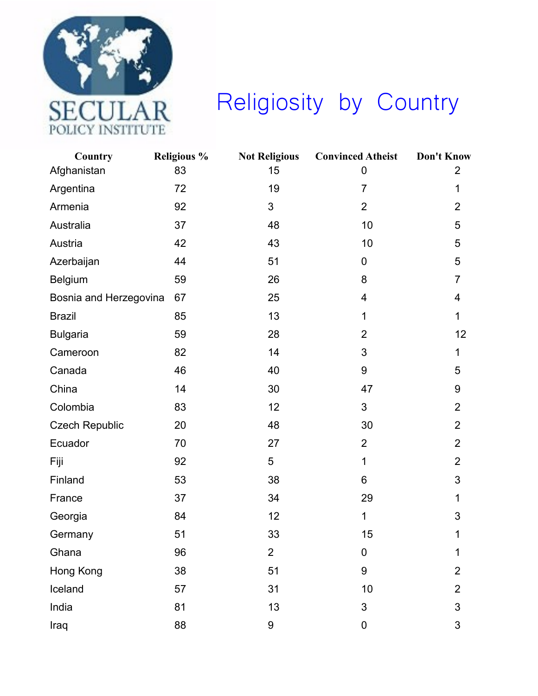

## Religiosity by Country

| Country                | <b>Religious %</b> | <b>Not Religious</b> | <b>Convinced Atheist</b> | <b>Don't Know</b>       |
|------------------------|--------------------|----------------------|--------------------------|-------------------------|
| Afghanistan            | 83                 | 15                   | $\mathbf 0$              | $\overline{2}$          |
| Argentina              | 72                 | 19                   | $\overline{7}$           | 1                       |
| Armenia                | 92                 | 3                    | $\overline{2}$           | $\overline{2}$          |
| Australia              | 37                 | 48                   | 10                       | 5                       |
| Austria                | 42                 | 43                   | 10                       | 5                       |
| Azerbaijan             | 44                 | 51                   | $\mathbf 0$              | 5                       |
| Belgium                | 59                 | 26                   | 8                        | $\overline{7}$          |
| Bosnia and Herzegovina | 67                 | 25                   | $\overline{\mathbf{4}}$  | $\overline{\mathbf{4}}$ |
| <b>Brazil</b>          | 85                 | 13                   | $\mathbf{1}$             | 1                       |
| <b>Bulgaria</b>        | 59                 | 28                   | $\overline{2}$           | 12                      |
| Cameroon               | 82                 | 14                   | 3                        | 1                       |
| Canada                 | 46                 | 40                   | $\boldsymbol{9}$         | 5                       |
| China                  | 14                 | 30                   | 47                       | $9\,$                   |
| Colombia               | 83                 | 12                   | 3                        | $\overline{2}$          |
| <b>Czech Republic</b>  | 20                 | 48                   | 30                       | $\overline{2}$          |
| Ecuador                | 70                 | 27                   | $\overline{2}$           | $\overline{2}$          |
| Fiji                   | 92                 | 5                    | $\mathbf{1}$             | $\overline{2}$          |
| Finland                | 53                 | 38                   | 6                        | $\mathfrak{S}$          |
| France                 | 37                 | 34                   | 29                       | 1                       |
| Georgia                | 84                 | 12                   | $\mathbf{1}$             | 3                       |
| Germany                | 51                 | 33                   | 15                       | 1                       |
| Ghana                  | 96                 | $\overline{2}$       | $\mathbf 0$              | 1                       |
| Hong Kong              | 38                 | 51                   | 9                        | $\overline{2}$          |
| Iceland                | 57                 | 31                   | 10                       | $\overline{2}$          |
| India                  | 81                 | 13                   | 3                        | 3                       |
| Iraq                   | 88                 | 9                    | $\pmb{0}$                | 3                       |